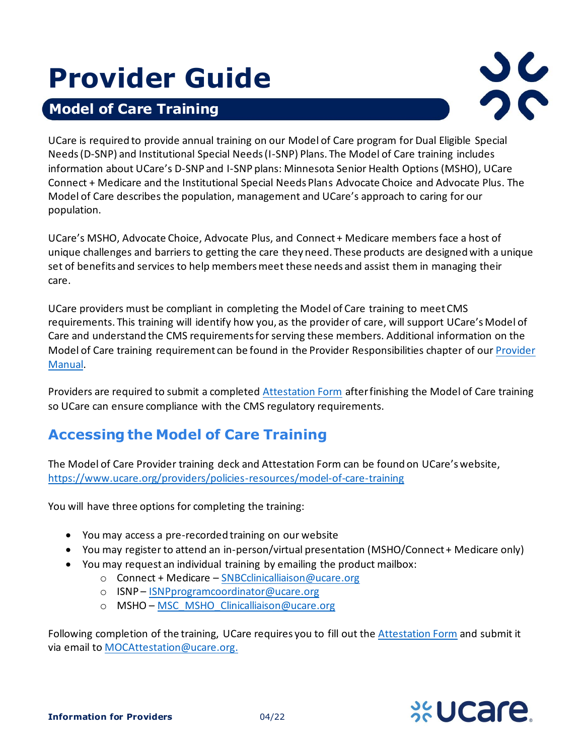# **Provider Guide**

# **Model of Care Training**

**Here**



UCare is required to provide annual training on our Model of Care program for Dual Eligible Special Needs (D-SNP) and Institutional Special Needs (I-SNP) Plans. The Model of Care training includes information about UCare's D-SNP and I-SNP plans: Minnesota Senior Health Options (MSHO), UCare Connect + Medicare and the Institutional Special Needs Plans Advocate Choice and Advocate Plus. The Model of Care describes the population, management and UCare's approach to caring for our population.

UCare's MSHO, Advocate Choice, Advocate Plus, and Connect + Medicare members face a host of unique challenges and barriers to getting the care they need. These products are designed with a unique set of benefits and services to help members meet these needs and assist them in managing their care.

UCare providers must be compliant in completing the Model of Care training to meet CMS requirements. This training will identify how you, as the provider of care, will support UCare's Model of Care and understand the CMS requirements for serving these members. Additional information on the Model of Care training requirement can be found in the Provider Responsibilities chapter of ou[r Provider](https://www.ucare.org/providers/policies-resources/provider-manual)  [Manual.](https://www.ucare.org/providers/policies-resources/provider-manual)

Providers are required to submit a completed [Attestation Form](https://wcms.ucare.org/-/media/documents/provider/general/moc_attestation.docx) after finishing the Model of Care training so UCare can ensure compliance with the CMS regulatory requirements.

# **Accessing the Model of Care Training**

The Model of Care Provider training deck and Attestation Form can be found on UCare's website, <https://www.ucare.org/providers/policies-resources/model-of-care-training>

You will have three options for completing the training:

- You may access a pre-recorded training on our website
- You may register to attend an in-person/virtual presentation (MSHO/Connect + Medicare only)
- You may request an individual training by emailing the product mailbox:
	- o Connect + Medicare [SNBCclinicalliaison@ucare.org](mailto:SNBCclinicalliaison@ucare.org)
	- o ISNP [ISNPprogramcoordinator@ucare.org](mailto:ISNPprogramcoordinator@ucare.org)
	- o MSHO MSC MSHO Clinicalliaison@ucare.org

Following completion of the training, UCare requires you to fill out the **Attestation Form** and submit it via email t[o MOCAttestation@ucare.org.](mailto:MOCAttestation@ucare.org)